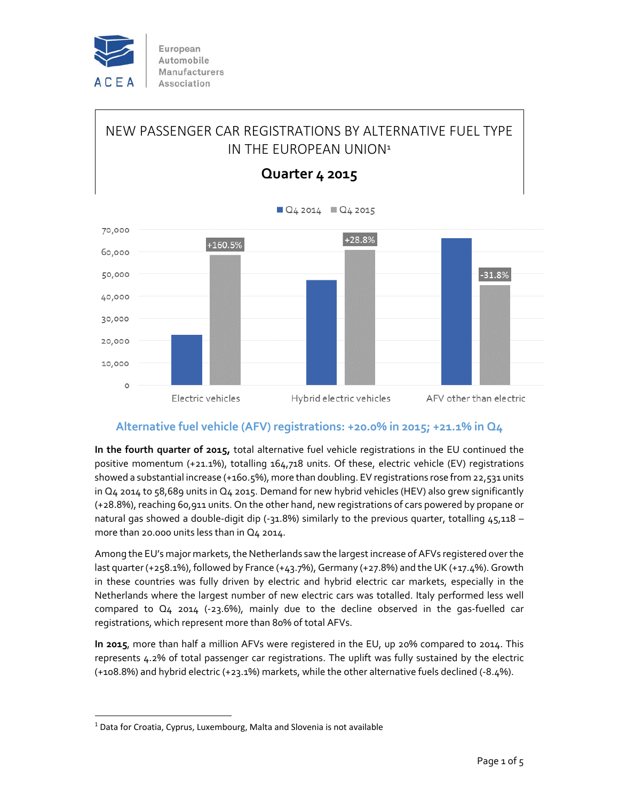

European Automobile Manufacturers Association

# NEW PASSENGER CAR REGISTRATIONS BY ALTERNATIVE FUEL TYPE IN THE FUROPEAN UNION<sup>1</sup>



**Quarter 4 2015**

## **Alternative fuel vehicle (AFV) registrations: +20.0% in 2015; +21.1% in Q4**

**In the fourth quarter of 2015,** total alternative fuel vehicle registrations in the EU continued the positive momentum (+21.1%), totalling 164,718 units. Of these, electric vehicle (EV) registrations showed a substantial increase (+160.5%), more than doubling. EV registrations rose from 22,531 units in Q4 2014 to 58,689 units in Q4 2015. Demand for new hybrid vehicles (HEV) also grew significantly (+28.8%), reaching 60,911 units. On the other hand, new registrations of cars powered by propane or natural gas showed a double-digit dip (-31.8%) similarly to the previous quarter, totalling  $45,118$ more than 20.000 units less than in Q4 2014.

Among the EU's major markets, the Netherlands saw the largest increase of AFVs registered over the last quarter (+258.1%), followed by France (+43.7%), Germany (+27.8%) and the UK (+17.4%). Growth in these countries was fully driven by electric and hybrid electric car markets, especially in the Netherlands where the largest number of new electric cars was totalled. Italy performed less well compared to  $Q_4$  2014 (-23.6%), mainly due to the decline observed in the gas-fuelled car registrations, which represent more than 80% of total AFVs.

**In 2015**, more than half a million AFVs were registered in the EU, up 20% compared to 2014. This represents 4.2% of total passenger car registrations. The uplift was fully sustained by the electric (+108.8%) and hybrid electric (+23.1%) markets, while the other alternative fuels declined (‐8.4%).

 $<sup>1</sup>$  Data for Croatia, Cyprus, Luxembourg, Malta and Slovenia is not available</sup>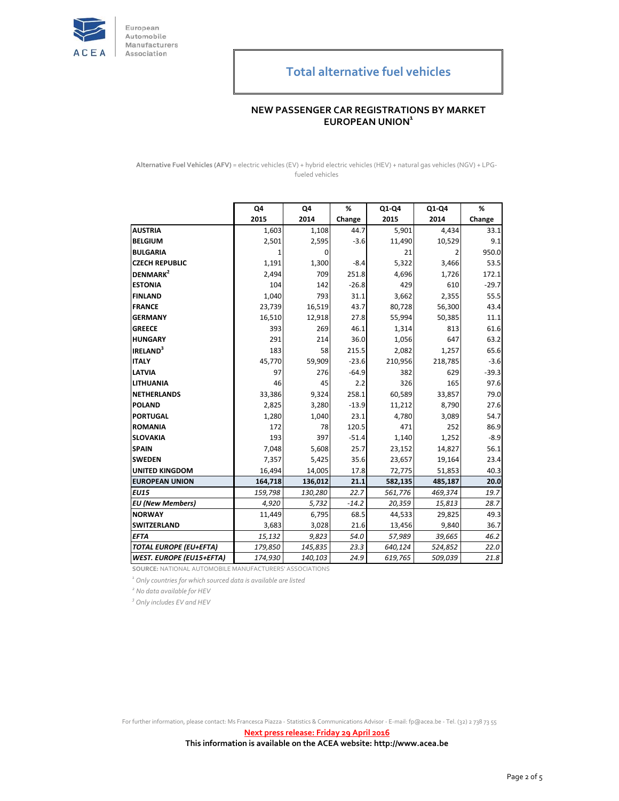

## **NEW PASSENGER CAR REGISTRATIONS BY MARKET EUROPEAN UNION<sup>1</sup>**

**Alternative Fuel Vehicles (AFV)** = electric vehicles (EV) + hybrid electric vehicles (HEV) + natural gas vehicles (NGV) + LPG‐ fueled vehicles

|                                 | Q4      | Q4      | %       | Q1-Q4   | Q1-Q4   | %       |
|---------------------------------|---------|---------|---------|---------|---------|---------|
|                                 | 2015    | 2014    | Change  | 2015    | 2014    | Change  |
| <b>AUSTRIA</b>                  | 1,603   | 1,108   | 44.7    | 5,901   | 4,434   | 33.1    |
| <b>BELGIUM</b>                  | 2,501   | 2,595   | $-3.6$  | 11,490  | 10,529  | 9.1     |
| <b>BULGARIA</b>                 | 1       | 0       |         | 21      | 2       | 950.0   |
| <b>CZECH REPUBLIC</b>           | 1,191   | 1,300   | $-8.4$  | 5,322   | 3,466   | 53.5    |
| DENMARK <sup>2</sup>            | 2,494   | 709     | 251.8   | 4,696   | 1,726   | 172.1   |
| <b>ESTONIA</b>                  | 104     | 142     | $-26.8$ | 429     | 610     | $-29.7$ |
| <b>FINLAND</b>                  | 1,040   | 793     | 31.1    | 3,662   | 2,355   | 55.5    |
| <b>FRANCE</b>                   | 23,739  | 16,519  | 43.7    | 80,728  | 56,300  | 43.4    |
| <b>GERMANY</b>                  | 16,510  | 12,918  | 27.8    | 55,994  | 50,385  | 11.1    |
| <b>GREECE</b>                   | 393     | 269     | 46.1    | 1,314   | 813     | 61.6    |
| <b>HUNGARY</b>                  | 291     | 214     | 36.0    | 1,056   | 647     | 63.2    |
| <b>IRELAND</b> <sup>3</sup>     | 183     | 58      | 215.5   | 2,082   | 1,257   | 65.6    |
| <b>ITALY</b>                    | 45,770  | 59,909  | $-23.6$ | 210,956 | 218,785 | $-3.6$  |
| <b>LATVIA</b>                   | 97      | 276     | $-64.9$ | 382     | 629     | $-39.3$ |
| <b>LITHUANIA</b>                | 46      | 45      | 2.2     | 326     | 165     | 97.6    |
| <b>NETHERLANDS</b>              | 33,386  | 9,324   | 258.1   | 60,589  | 33,857  | 79.0    |
| <b>POLAND</b>                   | 2,825   | 3,280   | $-13.9$ | 11,212  | 8,790   | 27.6    |
| PORTUGAL                        | 1,280   | 1,040   | 23.1    | 4,780   | 3,089   | 54.7    |
| <b>ROMANIA</b>                  | 172     | 78      | 120.5   | 471     | 252     | 86.9    |
| <b>SLOVAKIA</b>                 | 193     | 397     | $-51.4$ | 1,140   | 1,252   | $-8.9$  |
| <b>SPAIN</b>                    | 7,048   | 5,608   | 25.7    | 23,152  | 14,827  | 56.1    |
| <b>SWEDEN</b>                   | 7,357   | 5,425   | 35.6    | 23,657  | 19,164  | 23.4    |
| <b>UNITED KINGDOM</b>           | 16,494  | 14,005  | 17.8    | 72,775  | 51,853  | 40.3    |
| <b>EUROPEAN UNION</b>           | 164,718 | 136,012 | 21.1    | 582,135 | 485,187 | 20.0    |
| <b>EU15</b>                     | 159,798 | 130,280 | 22.7    | 561,776 | 469,374 | 19.7    |
| <b>EU</b> (New Members)         | 4,920   | 5,732   | $-14.2$ | 20,359  | 15,813  | 28.7    |
| <b>NORWAY</b>                   | 11,449  | 6,795   | 68.5    | 44,533  | 29,825  | 49.3    |
| <b>SWITZERLAND</b>              | 3,683   | 3,028   | 21.6    | 13,456  | 9,840   | 36.7    |
| <b>EFTA</b>                     | 15,132  | 9,823   | 54.0    | 57,989  | 39,665  | 46.2    |
| <b>TOTAL EUROPE (EU+EFTA)</b>   | 179,850 | 145,835 | 23.3    | 640,124 | 524,852 | 22.0    |
| <b>WEST. EUROPE (EU15+EFTA)</b> | 174,930 | 140,103 | 24.9    | 619,765 | 509,039 | 21.8    |

**SOURCE:** NATIONAL AUTOMOBILE MANUFACTURERS' ASSOCIATIONS

*1 Only countries for which sourced data is available are listed*

*<sup>2</sup> No data available for HEV*

*3 Only includes EV and HEV*

For further information, please contact: Ms Francesca Piazza ‐ Statistics & Communications Advisor ‐ E‐mail: fp@acea.be ‐ Tel. (32) 2 738 73 55

**Next press release: Friday 29 April 2016**

**This information is available on the ACEA website: http://www.acea.be**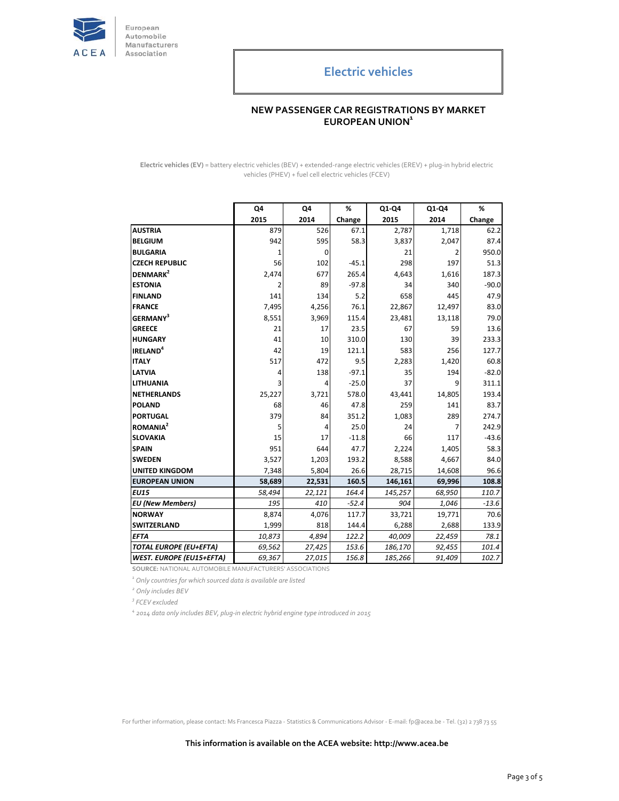

European Automobile Manufacturers Association

## **Electric vehicles**

#### **NEW PASSENGER CAR REGISTRATIONS BY MARKET EUROPEAN UNION<sup>1</sup>**

**Electric vehicles (EV)** = battery electric vehicles (BEV) + extended‐range electric vehicles (EREV) + plug‐in hybrid electric vehicles (PHEV) + fuel cell electric vehicles (FCEV)

|                                 | Q4     | Q4     | %       | Q1-Q4   | Q1-Q4  | %       |
|---------------------------------|--------|--------|---------|---------|--------|---------|
|                                 | 2015   | 2014   | Change  | 2015    | 2014   | Change  |
| <b>AUSTRIA</b>                  | 879    | 526    | 67.1    | 2,787   | 1,718  | 62.2    |
| <b>BELGIUM</b>                  | 942    | 595    | 58.3    | 3,837   | 2,047  | 87.4    |
| <b>BULGARIA</b>                 | 1      | 0      |         | 21      | 2      | 950.0   |
| <b>CZECH REPUBLIC</b>           | 56     | 102    | $-45.1$ | 298     | 197    | 51.3    |
| DENMARK <sup>2</sup>            | 2,474  | 677    | 265.4   | 4,643   | 1,616  | 187.3   |
| <b>ESTONIA</b>                  | 2      | 89     | $-97.8$ | 34      | 340    | $-90.0$ |
| <b>FINLAND</b>                  | 141    | 134    | 5.2     | 658     | 445    | 47.9    |
| <b>FRANCE</b>                   | 7,495  | 4,256  | 76.1    | 22,867  | 12,497 | 83.0    |
| <b>GERMANY</b> <sup>3</sup>     | 8,551  | 3,969  | 115.4   | 23,481  | 13,118 | 79.0    |
| <b>GREECE</b>                   | 21     | 17     | 23.5    | 67      | 59     | 13.6    |
| <b>HUNGARY</b>                  | 41     | 10     | 310.0   | 130     | 39     | 233.3   |
| <b>IRELAND<sup>4</sup></b>      | 42     | 19     | 121.1   | 583     | 256    | 127.7   |
| <b>ITALY</b>                    | 517    | 472    | 9.5     | 2,283   | 1,420  | 60.8    |
| <b>LATVIA</b>                   | 4      | 138    | $-97.1$ | 35      | 194    | $-82.0$ |
| <b>LITHUANIA</b>                | 3      | 4      | $-25.0$ | 37      | 9      | 311.1   |
| <b>NETHERLANDS</b>              | 25,227 | 3,721  | 578.0   | 43,441  | 14,805 | 193.4   |
| <b>POLAND</b>                   | 68     | 46     | 47.8    | 259     | 141    | 83.7    |
| PORTUGAL                        | 379    | 84     | 351.2   | 1,083   | 289    | 274.7   |
| <b>ROMANIA</b> <sup>2</sup>     | 5      | 4      | 25.0    | 24      | 7      | 242.9   |
| <b>SLOVAKIA</b>                 | 15     | 17     | $-11.8$ | 66      | 117    | $-43.6$ |
| <b>SPAIN</b>                    | 951    | 644    | 47.7    | 2,224   | 1,405  | 58.3    |
| <b>SWEDEN</b>                   | 3,527  | 1,203  | 193.2   | 8,588   | 4,667  | 84.0    |
| <b>UNITED KINGDOM</b>           | 7,348  | 5,804  | 26.6    | 28,715  | 14,608 | 96.6    |
| <b>EUROPEAN UNION</b>           | 58,689 | 22,531 | 160.5   | 146,161 | 69,996 | 108.8   |
| <b>EU15</b>                     | 58,494 | 22,121 | 164.4   | 145,257 | 68,950 | 110.7   |
| <b>EU</b> (New Members)         | 195    | 410    | $-52.4$ | 904     | 1,046  | $-13.6$ |
| <b>NORWAY</b>                   | 8,874  | 4,076  | 117.7   | 33,721  | 19,771 | 70.6    |
| <b>SWITZERLAND</b>              | 1,999  | 818    | 144.4   | 6,288   | 2,688  | 133.9   |
| <b>EFTA</b>                     | 10,873 | 4,894  | 122.2   | 40,009  | 22,459 | 78.1    |
| <b>TOTAL EUROPE (EU+EFTA)</b>   | 69,562 | 27,425 | 153.6   | 186,170 | 92,455 | 101.4   |
| <b>WEST. EUROPE (EU15+EFTA)</b> | 69,367 | 27,015 | 156.8   | 185,266 | 91,409 | 102.7   |

**SOURCE:** NATIONAL AUTOMOBILE MANUFACTURERS' ASSOCIATIONS

*1 Only countries for which sourced data is available are listed*

*<sup>2</sup> Only includes BEV*

*3 FCEV excluded*

*<sup>4</sup> 2014 data only includes BEV, plug‐in electric hybrid engine type introduced in 2015*

For further information, please contact: Ms Francesca Piazza ‐ Statistics & Communications Advisor ‐ E‐mail: fp@acea.be ‐ Tel. (32) 2 738 73 55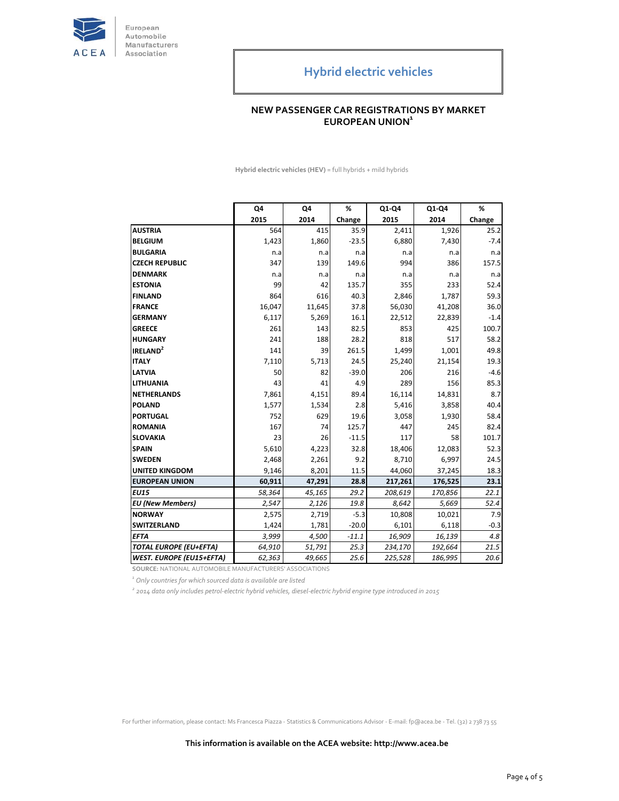

## **NEW PASSENGER CAR REGISTRATIONS BY MARKET EUROPEAN UNION<sup>1</sup>**

**Hybrid electric vehicles (HEV)** = full hybrids + mild hybrids

|                                 | Q4     | Q4     | %       | Q1-Q4   | Q1-Q4   | %      |
|---------------------------------|--------|--------|---------|---------|---------|--------|
|                                 | 2015   | 2014   | Change  | 2015    | 2014    | Change |
| <b>AUSTRIA</b>                  | 564    | 415    | 35.9    | 2,411   | 1,926   | 25.2   |
| <b>BELGIUM</b>                  | 1,423  | 1,860  | $-23.5$ | 6,880   | 7,430   | $-7.4$ |
| <b>BULGARIA</b>                 | n.a    | n.a    | n.a     | n.a     | n.a     | n.a    |
| <b>CZECH REPUBLIC</b>           | 347    | 139    | 149.6   | 994     | 386     | 157.5  |
| <b>DENMARK</b>                  | n.a    | n.a    | n.a     | n.a     | n.a     | n.a    |
| <b>ESTONIA</b>                  | 99     | 42     | 135.7   | 355     | 233     | 52.4   |
| <b>FINLAND</b>                  | 864    | 616    | 40.3    | 2,846   | 1,787   | 59.3   |
| <b>FRANCE</b>                   | 16,047 | 11,645 | 37.8    | 56,030  | 41,208  | 36.0   |
| <b>GERMANY</b>                  | 6,117  | 5,269  | 16.1    | 22,512  | 22,839  | $-1.4$ |
| <b>GREECE</b>                   | 261    | 143    | 82.5    | 853     | 425     | 100.7  |
| <b>HUNGARY</b>                  | 241    | 188    | 28.2    | 818     | 517     | 58.2   |
| IRELAND <sup>2</sup>            | 141    | 39     | 261.5   | 1,499   | 1,001   | 49.8   |
| <b>ITALY</b>                    | 7,110  | 5,713  | 24.5    | 25,240  | 21,154  | 19.3   |
| <b>LATVIA</b>                   | 50     | 82     | $-39.0$ | 206     | 216     | $-4.6$ |
| <b>LITHUANIA</b>                | 43     | 41     | 4.9     | 289     | 156     | 85.3   |
| <b>NETHERLANDS</b>              | 7,861  | 4,151  | 89.4    | 16,114  | 14,831  | 8.7    |
| <b>POLAND</b>                   | 1,577  | 1,534  | 2.8     | 5,416   | 3,858   | 40.4   |
| PORTUGAL                        | 752    | 629    | 19.6    | 3,058   | 1,930   | 58.4   |
| <b>ROMANIA</b>                  | 167    | 74     | 125.7   | 447     | 245     | 82.4   |
| <b>SLOVAKIA</b>                 | 23     | 26     | $-11.5$ | 117     | 58      | 101.7  |
| <b>SPAIN</b>                    | 5,610  | 4,223  | 32.8    | 18,406  | 12,083  | 52.3   |
| <b>SWEDEN</b>                   | 2,468  | 2,261  | 9.2     | 8,710   | 6,997   | 24.5   |
| <b>UNITED KINGDOM</b>           | 9,146  | 8,201  | 11.5    | 44,060  | 37,245  | 18.3   |
| <b>EUROPEAN UNION</b>           | 60,911 | 47,291 | 28.8    | 217,261 | 176,525 | 23.1   |
| <b>EU15</b>                     | 58,364 | 45,165 | 29.2    | 208,619 | 170,856 | 22.1   |
| <b>EU</b> (New Members)         | 2,547  | 2,126  | 19.8    | 8,642   | 5,669   | 52.4   |
| <b>NORWAY</b>                   | 2,575  | 2,719  | $-5.3$  | 10,808  | 10,021  | 7.9    |
| <b>SWITZERLAND</b>              | 1,424  | 1,781  | $-20.0$ | 6,101   | 6,118   | $-0.3$ |
| <b>EFTA</b>                     | 3,999  | 4,500  | $-11.1$ | 16,909  | 16,139  | 4.8    |
| <b>TOTAL EUROPE (EU+EFTA)</b>   | 64,910 | 51,791 | 25.3    | 234,170 | 192,664 | 21.5   |
| <b>WEST. EUROPE (EU15+EFTA)</b> | 62,363 | 49,665 | 25.6    | 225,528 | 186,995 | 20.6   |

**SOURCE:** NATIONAL AUTOMOBILE MANUFACTURERS' ASSOCIATIONS

*1 Only countries for which sourced data is available are listed*

 $^2$  2014 data only includes petrol-electric hybrid vehicles, diesel-electric hybrid engine type introduced in 2015

For further information, please contact: Ms Francesca Piazza ‐ Statistics & Communications Advisor ‐ E‐mail: fp@acea.be ‐ Tel. (32) 2 738 73 55